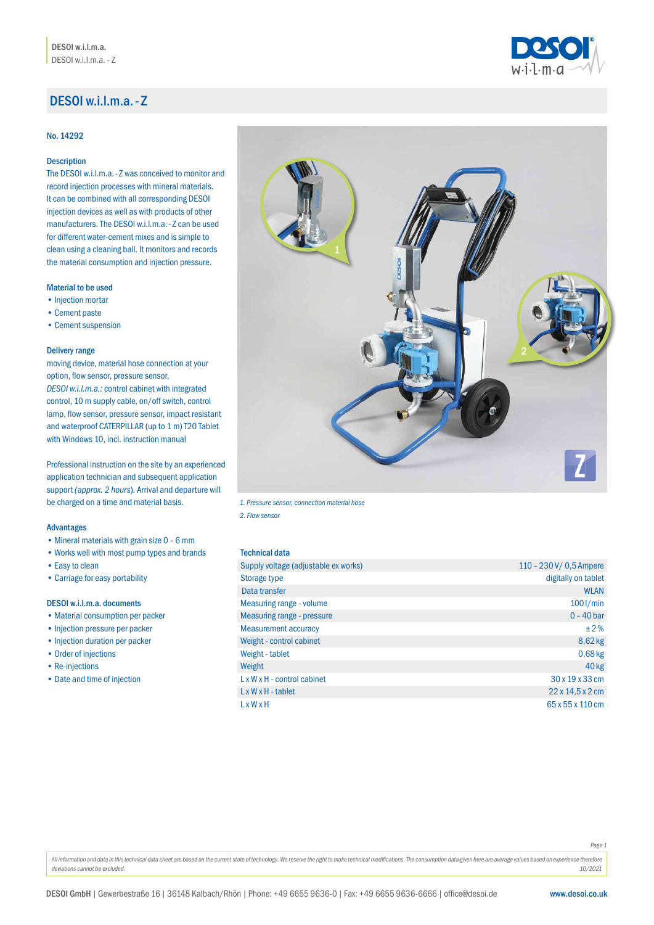# DESOI w.i.l.m.a.- Z

### No. 14292

# Description

The DESOI w.i.l.m.a.- Z was conceived to monitor and record injection processes with mineral materials. It can be combined with all corresponding DESOI injection devices as well as with products of other manufacturers. The DESOI w.i.l.m.a.- Z can be used for different water-cement mixes and is simple to clean using a cleaning ball. It monitors and records the material consumption and injection pressure.

### Material to be used

- •Injection mortar
- •Cement paste
- •Cement suspension

#### Delivery range

moving device, material hose connection at your option, flow sensor, pressure sensor, *DESOI w.i.l.m.a.:* control cabinet with integrated control, 10 m supply cable, on/off switch, control lamp, flow sensor, pressure sensor, impact resistant and waterproof CATERPILLAR (up to 1 m) T20 Tablet with Windows 10, incl. instruction manual

Professional instruction on the site by an experienced application technician and subsequent application support *(approx. 2 hours*). Arrival and departure will be charged on a time and material basis.

# Advantages

- Mineral materials with grain size  $0 6$  mm
- •Works well with most pump types and brands
- •Easy to clean
- •Carriage for easy portability

### DESOI w.i.l.m.a. documents

- •Material consumption per packer
- •Injection pressure per packer
- •Injection duration per packer
- •Order of injections
- Re-injections
- Date and time of injection



*1. Pressure sensor, connection material hose* 

*2. Flow sensor*

### Technical data

| Supply voltage (adjustable ex works) | 110 - 230 V/ 0,5 Ampere      |
|--------------------------------------|------------------------------|
| Storage type                         | digitally on tablet          |
| Data transfer                        | <b>WLAN</b>                  |
| <b>Measuring range - volume</b>      | $100$ I/min                  |
| <b>Measuring range - pressure</b>    | $0 - 40$ bar                 |
| <b>Measurement accuracy</b>          | $\pm 2\%$                    |
| Weight - control cabinet             | $8,62$ kg                    |
| Weight - tablet                      | $0,68$ kg                    |
| Weight                               | $40 \text{ kg}$              |
| LxWxH-control cabinet                | 30 x 19 x 33 cm              |
| $L \times W \times H$ - tablet       | $22 \times 14.5 \times 2$ cm |
| LxWxH                                | 65 x 55 x 110 cm             |

*Page 1*

All information and data in this technical data sheet are based on the current state of technology. We reserve the right to make technical modifications. The consumption data given here are average values based on experien *deviations cannot be excluded. 10/2021*